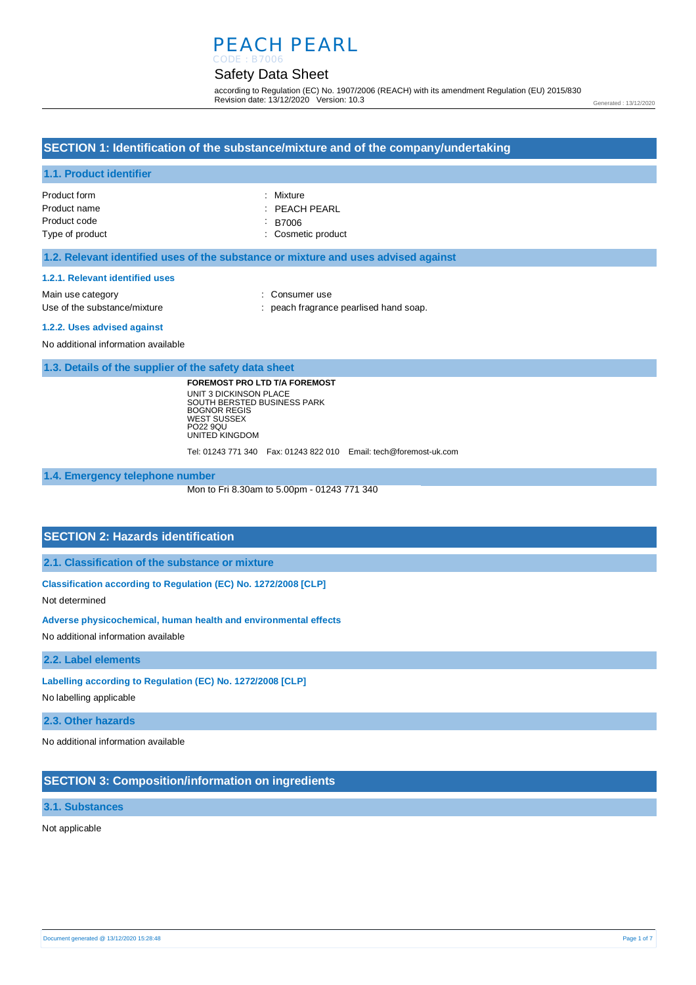# PEACH PEARL

### Safety Data Sheet CODE : B7006

according to Regulation (EC) No. 1907/2006 (REACH) with its amendment Regulation (EU) 2015/830 Revision date: 13/12/2020 Version: 10.3

# **SECTION 1: Identification of the substance/mixture and of the company/undertaking**

#### **1.1. Product identifier**

| Product form    | : Mixture                |
|-----------------|--------------------------|
| Product name    | $\therefore$ PEACH PEARL |
| Product code    | : B7006                  |
| Type of product | : Cosmetic product       |

#### **1.2. Relevant identified uses of the substance or mixture and uses advised against**

#### **1.2.1. Relevant identified uses**

Main use category **Main use category CONSULARE 2018** Use of the substance/mixture in the substance/mixture in the substance pearlised hand soap.

### **1.2.2. Uses advised against**

No additional information available

### **1.3. Details of the supplier of the safety data sheet**

**FOREMOST PRO LTD T/A FOREMOST** UNIT 3 DICKINSON PLACE SOUTH BERSTED BUSINESS PARK BOGNOR REGIS WEST SUSSEX PO22 9QU UNITED KINGDOM

Tel: 01243 771 340 Fax: 01243 822 010 Email: tech@foremost-uk.com

### **1.4. Emergency telephone number**

Mon to Fri 8.30am to 5.00pm - 01243 771 340

## **SECTION 2: Hazards identification**

**2.1. Classification of the substance or mixture**

## **Classification according to Regulation (EC) No. 1272/2008 [CLP]**

Not determined

#### **Adverse physicochemical, human health and environmental effects**

No additional information available

## **2.2. Label elements**

#### **Labelling according to Regulation (EC) No. 1272/2008 [CLP]**

No labelling applicable

#### **2.3. Other hazards**

No additional information available

### **SECTION 3: Composition/information on ingredients**

### **3.1. Substances**

Not applicable

Generated : 13/12/2020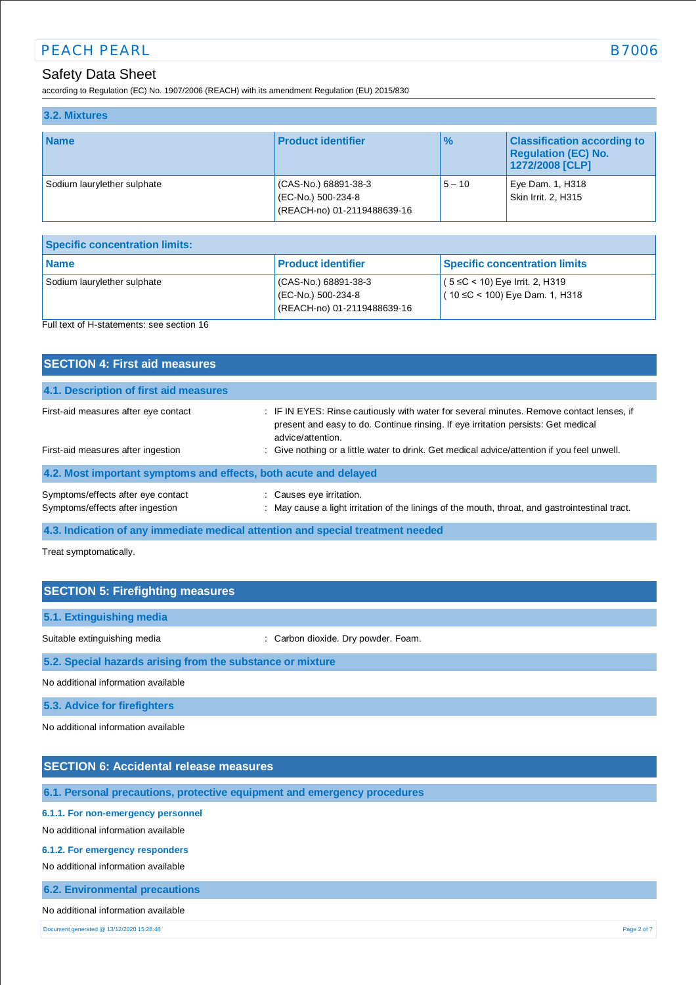## PEACH PEARL B7006

## Safety Data Sheet

according to Regulation (EC) No. 1907/2006 (REACH) with its amendment Regulation (EU) 2015/830

| 3.2. Mixtures               |                                                                           |               |                                                                                     |
|-----------------------------|---------------------------------------------------------------------------|---------------|-------------------------------------------------------------------------------------|
| <b>Name</b>                 | <b>Product identifier</b>                                                 | $\frac{9}{6}$ | <b>Classification according to</b><br><b>Regulation (EC) No.</b><br>1272/2008 [CLP] |
| Sodium laurylether sulphate | (CAS-No.) 68891-38-3<br>(EC-No.) 500-234-8<br>(REACH-no) 01-2119488639-16 | $5 - 10$      | Eye Dam. 1, H318<br>Skin Irrit. 2, H315                                             |

| Specific concentration limits:            |                                                                          |                                                                           |
|-------------------------------------------|--------------------------------------------------------------------------|---------------------------------------------------------------------------|
| <b>Name</b>                               | <b>Product identifier</b>                                                | <b>Specific concentration limits</b>                                      |
| Sodium laurylether sulphate               | CAS-No.) 68891-38-3<br>(EC-No.) 500-234-8<br>(REACH-no) 01-2119488639-16 | $(5 ≤ C < 10)$ Eye Irrit. 2, H319<br>$(10 \leq C < 100)$ Eye Dam. 1, H318 |
| Full text of H-statements: see section 16 |                                                                          |                                                                           |

| <b>SECTION 4: First aid measures</b>                                       |                                                                                                                                                                                                                                                                                                   |
|----------------------------------------------------------------------------|---------------------------------------------------------------------------------------------------------------------------------------------------------------------------------------------------------------------------------------------------------------------------------------------------|
| 4.1. Description of first aid measures                                     |                                                                                                                                                                                                                                                                                                   |
| First-aid measures after eye contact<br>First-aid measures after ingestion | : IF IN EYES: Rinse cautiously with water for several minutes. Remove contact lenses, if<br>present and easy to do. Continue rinsing. If eye irritation persists: Get medical<br>advice/attention.<br>: Give nothing or a little water to drink. Get medical advice/attention if you feel unwell. |
| 4.2. Most important symptoms and effects, both acute and delayed           |                                                                                                                                                                                                                                                                                                   |
| Symptoms/effects after eye contact<br>Symptoms/effects after ingestion     | : Causes eye irritation.<br>: May cause a light irritation of the linings of the mouth, throat, and gastrointestinal tract.                                                                                                                                                                       |

**4.3. Indication of any immediate medical attention and special treatment needed**

Treat symptomatically.

| <b>SECTION 5: Firefighting measures</b>                    |                                     |  |
|------------------------------------------------------------|-------------------------------------|--|
| 5.1. Extinguishing media                                   |                                     |  |
| Suitable extinguishing media                               | : Carbon dioxide. Dry powder. Foam. |  |
| 5.2. Special hazards arising from the substance or mixture |                                     |  |
| No additional information available                        |                                     |  |
| <b>5.3. Advice for firefighters</b>                        |                                     |  |

No additional information available

## **SECTION 6: Accidental release measures**

**6.1. Personal precautions, protective equipment and emergency procedures**

### **6.1.1. For non-emergency personnel**

No additional information available

#### **6.1.2. For emergency responders**

No additional information available

**6.2. Environmental precautions**

#### No additional information available

Document generated @ 13/12/2020 15:28:48 Page 2 of 7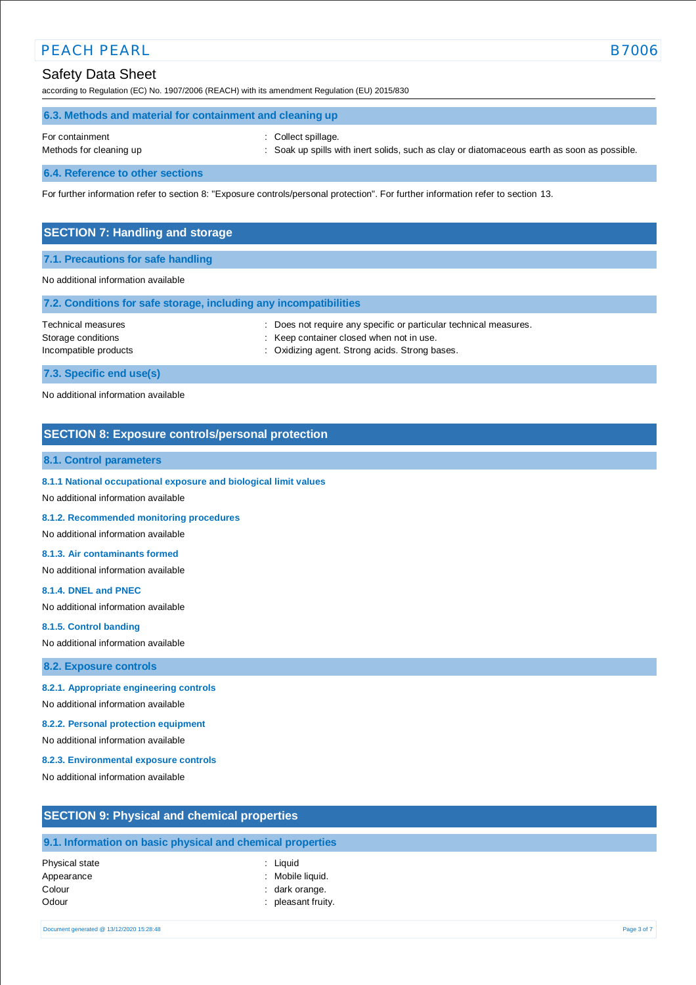## PEACH PEARL B7006

## Safety Data Sheet

according to Regulation (EC) No. 1907/2006 (REACH) with its amendment Regulation (EU) 2015/830

|                 | 6.3. Methods and material for containment and cleaning up |  |
|-----------------|-----------------------------------------------------------|--|
| For containment | : Collect spillage.                                       |  |

- Methods for cleaning up : Soak up spills with inert solids, such as clay or diatomaceous earth as soon as possible.
- 

**6.4. Reference to other sections**

For further information refer to section 8: "Exposure controls/personal protection". For further information refer to section 13.

## **SECTION 7: Handling and storage**

### **7.1. Precautions for safe handling**

### No additional information available

| 7.2. Conditions for safe storage, including any incompatibilities |                                                                                                                                                                 |
|-------------------------------------------------------------------|-----------------------------------------------------------------------------------------------------------------------------------------------------------------|
| Technical measures<br>Storage conditions<br>Incompatible products | : Does not require any specific or particular technical measures.<br>: Keep container closed when not in use.<br>: Oxidizing agent. Strong acids. Strong bases. |
| 7.3. Specific end use(s)                                          |                                                                                                                                                                 |
| No additional information available                               |                                                                                                                                                                 |

## **SECTION 8: Exposure controls/personal protection**

## **8.1. Control parameters**

### **8.1.1 National occupational exposure and biological limit values**

No additional information available

#### **8.1.2. Recommended monitoring procedures**

No additional information available

#### **8.1.3. Air contaminants formed**

No additional information available

#### **8.1.4. DNEL and PNEC**

No additional information available

#### **8.1.5. Control banding**

No additional information available

#### **8.2. Exposure controls**

### **8.2.1. Appropriate engineering controls**

No additional information available

#### **8.2.2. Personal protection equipment**

No additional information available

#### **8.2.3. Environmental exposure controls**

No additional information available

## **SECTION 9: Physical and chemical properties**

## **9.1. Information on basic physical and chemical properties**

Physical state : Liquid Appearance : Mobile liquid. Colour : dark orange. Odour : pleasant fruity.

- 
- 
-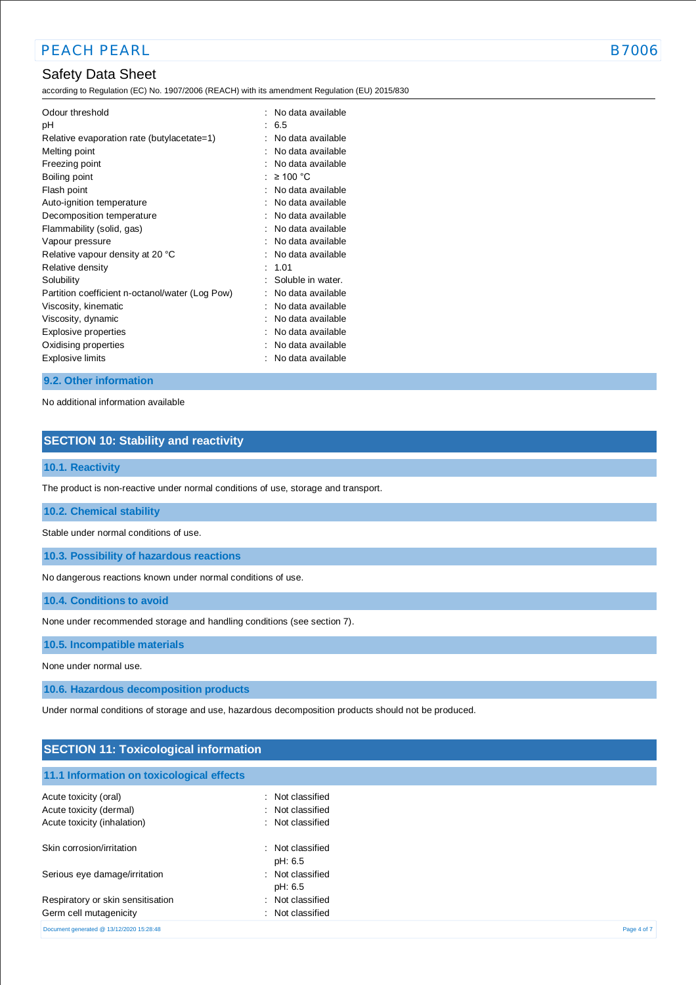## Safety Data Sheet

according to Regulation (EC) No. 1907/2006 (REACH) with its amendment Regulation (EU) 2015/830

| Odour threshold<br>рH<br>Relative evaporation rate (butylacetate=1) | ÷. | No data available<br>6.5<br>No data available |
|---------------------------------------------------------------------|----|-----------------------------------------------|
| Melting point                                                       |    | No data available                             |
| Freezing point                                                      |    | No data available                             |
| Boiling point                                                       |    | $\geq 100$ °C                                 |
| Flash point                                                         |    | No data available                             |
| Auto-ignition temperature                                           |    | No data available                             |
| Decomposition temperature                                           |    | No data available                             |
| Flammability (solid, gas)                                           |    | No data available                             |
| Vapour pressure                                                     |    | No data available                             |
| Relative vapour density at 20 °C                                    |    | No data available                             |
| Relative density                                                    |    | : 1.01                                        |
| Solubility                                                          |    | Soluble in water.                             |
| Partition coefficient n-octanol/water (Log Pow)                     |    | No data available                             |
| Viscosity, kinematic                                                |    | No data available                             |
| Viscosity, dynamic                                                  |    | No data available                             |
| Explosive properties                                                |    | No data available                             |
| Oxidising properties                                                |    | No data available                             |
| Explosive limits                                                    |    | No data available                             |

## **9.2. Other information**

No additional information available

## **SECTION 10: Stability and reactivity**

## **10.1. Reactivity**

The product is non-reactive under normal conditions of use, storage and transport.

### **10.2. Chemical stability**

Stable under normal conditions of use.

**10.3. Possibility of hazardous reactions**

No dangerous reactions known under normal conditions of use.

**10.4. Conditions to avoid**

None under recommended storage and handling conditions (see section 7).

**10.5. Incompatible materials**

None under normal use.

**10.6. Hazardous decomposition products**

Under normal conditions of storage and use, hazardous decomposition products should not be produced.

## **SECTION 11: Toxicological information**

| 11.1 Information on toxicological effects |                             |             |
|-------------------------------------------|-----------------------------|-------------|
| Acute toxicity (oral)                     | : Not classified            |             |
| Acute toxicity (dermal)                   | : Not classified            |             |
| Acute toxicity (inhalation)               | : Not classified            |             |
| Skin corrosion/irritation                 | : Not classified<br>pH: 6.5 |             |
| Serious eye damage/irritation             | : Not classified<br>pH: 6.5 |             |
| Respiratory or skin sensitisation         | : Not classified            |             |
| Germ cell mutagenicity                    | : Not classified            |             |
| Document generated @ 13/12/2020 15:28:48  |                             | Page 4 of 7 |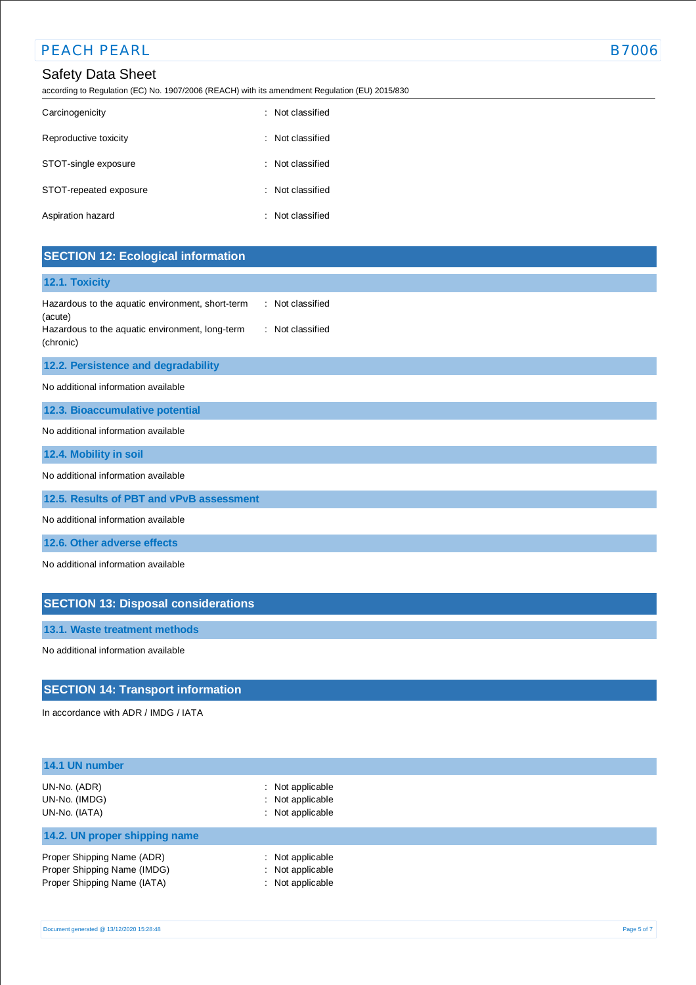## PEACH PEARL **B7006**

## Safety Data Sheet

according to Regulation (EC) No. 1907/2006 (REACH) with its amendment Regulation (EU) 2015/830

| Carcinogenicity        | : Not classified |
|------------------------|------------------|
| Reproductive toxicity  | Not classified   |
| STOT-single exposure   | : Not classified |
| STOT-repeated exposure | : Not classified |
| Aspiration hazard      | : Not classified |

## **SECTION 12: Ecological information**

## **12.1. Toxicity**

| Hazardous to the aquatic environment, short-term | : Not classified |
|--------------------------------------------------|------------------|
| (acute)                                          |                  |
| Hazardous to the aquatic environment, long-term  | : Not classified |
| (chronic)                                        |                  |

## **12.2. Persistence and degradability**

No additional information available

**12.3. Bioaccumulative potential**

No additional information available

**12.4. Mobility in soil**

No additional information available

**12.5. Results of PBT and vPvB assessment**

No additional information available

**12.6. Other adverse effects**

No additional information available

## **SECTION 13: Disposal considerations**

**13.1. Waste treatment methods**

No additional information available

## **SECTION 14: Transport information**

In accordance with ADR / IMDG / IATA

| 14.1 UN number                                                                           |                                                                     |  |
|------------------------------------------------------------------------------------------|---------------------------------------------------------------------|--|
| UN-No. (ADR)<br>UN-No. (IMDG)<br>UN-No. (IATA)                                           | $\therefore$ Not applicable<br>: Not applicable<br>: Not applicable |  |
| 14.2. UN proper shipping name                                                            |                                                                     |  |
| Proper Shipping Name (ADR)<br>Proper Shipping Name (IMDG)<br>Proper Shipping Name (IATA) | : Not applicable<br>: Not applicable<br>: Not applicable            |  |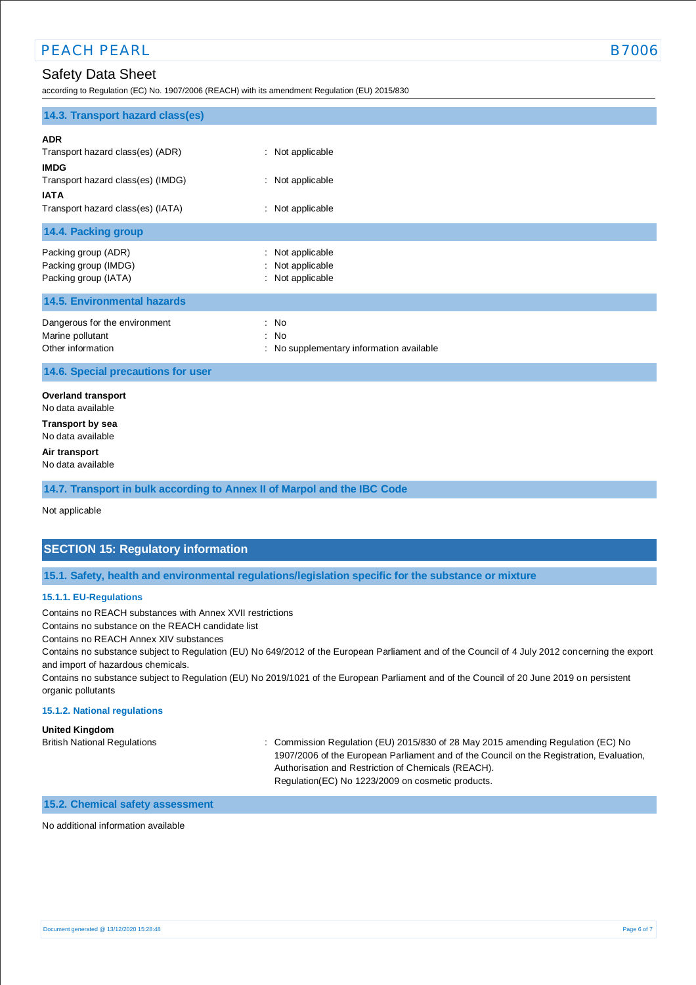according to Regulation (EC) No. 1907/2006 (REACH) with its amendment Regulation (EU) 2015/830

| 14.3. Transport hazard class(es)                                       |                                                          |
|------------------------------------------------------------------------|----------------------------------------------------------|
| <b>ADR</b><br>Transport hazard class(es) (ADR)                         | : Not applicable                                         |
| <b>IMDG</b>                                                            |                                                          |
| Transport hazard class(es) (IMDG)<br><b>IATA</b>                       | : Not applicable                                         |
| Transport hazard class(es) (IATA)                                      | : Not applicable                                         |
| 14.4. Packing group                                                    |                                                          |
| Packing group (ADR)<br>Packing group (IMDG)<br>Packing group (IATA)    | : Not applicable<br>: Not applicable<br>: Not applicable |
| <b>14.5. Environmental hazards</b>                                     |                                                          |
| Dangerous for the environment<br>Marine pollutant<br>Other information | : No<br>: No<br>: No supplementary information available |
| 14.6. Special precautions for user                                     |                                                          |
| <b>Overland transport</b><br>No data available                         |                                                          |
| <b>Transport by sea</b><br>No data available                           |                                                          |
| A in Angeles and                                                       |                                                          |

**Air transport** No data available

**14.7. Transport in bulk according to Annex II of Marpol and the IBC Code**

Not applicable

## **SECTION 15: Regulatory information**

**15.1. Safety, health and environmental regulations/legislation specific for the substance or mixture**

### **15.1.1. EU-Regulations**

Contains no REACH substances with Annex XVII restrictions

Contains no substance on the REACH candidate list

Contains no REACH Annex XIV substances

Contains no substance subject to Regulation (EU) No 649/2012 of the European Parliament and of the Council of 4 July 2012 concerning the export and import of hazardous chemicals.

Contains no substance subject to Regulation (EU) No 2019/1021 of the European Parliament and of the Council of 20 June 2019 on persistent organic pollutants

### **15.1.2. National regulations**

**United Kingdom**

British National Regulations : Commission Regulation (EU) 2015/830 of 28 May 2015 amending Regulation (EC) No 1907/2006 of the European Parliament and of the Council on the Registration, Evaluation, Authorisation and Restriction of Chemicals (REACH). Regulation(EC) No 1223/2009 on cosmetic products.

## **15.2. Chemical safety assessment**

No additional information available